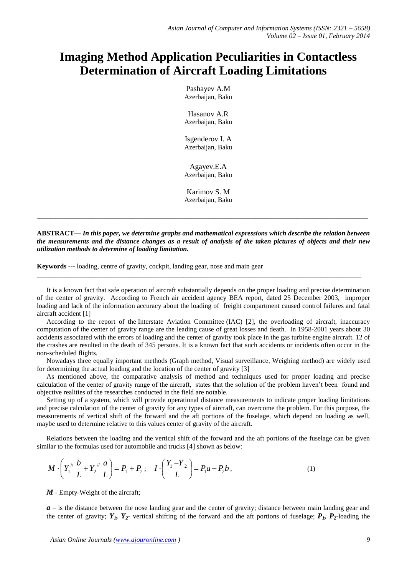## **Imaging Method Application Peculiarities in Contactless Determination of Aircraft Loading Limitations**

Pashayev A.M Azerbaijan, Baku

Hasanov A.R Azerbaijan, Baku

Isgenderov I. A Azerbaijan, Baku

Agayev.E.A Azerbaijan, Baku

Karimov S. M Azerbaijan, Baku

**ABSTRACT—** *In this paper, we determine graphs and mathematical expressions which describe the relation between the measurements and the distance changes as a result of analysis of the taken pictures of objects and their new utilization methods to determine of loading limitation.* 

\_\_\_\_\_\_\_\_\_\_\_\_\_\_\_\_\_\_\_\_\_\_\_\_\_\_\_\_\_\_\_\_\_\_\_\_\_\_\_\_\_\_\_\_\_\_\_\_\_\_\_\_\_\_\_\_\_\_\_\_\_\_\_\_\_\_\_\_\_\_\_\_\_\_\_\_\_\_\_\_\_\_\_\_\_\_\_\_\_\_\_\_\_\_\_\_\_

**Keywords ---** loading, centre of gravity, cockpit, landing gear, nose and main gear

It is a known fact that safe operation of aircraft substantially depends on the proper loading and precise determination of the center of gravity. According to French air accident agency BEA report, dated 25 December 2003, improper loading and lack of the information accuracy about the loading of freight compartment caused control failures and fatal aircraft accident [1]

\_\_\_\_\_\_\_\_\_\_\_\_\_\_\_\_\_\_\_\_\_\_\_\_\_\_\_\_\_\_\_\_\_\_\_\_\_\_\_\_\_\_\_\_\_\_\_\_\_\_\_\_\_\_\_\_\_\_\_\_\_\_\_\_\_\_\_\_\_\_\_\_\_\_\_\_\_\_\_\_\_\_\_\_\_\_\_\_\_\_\_\_\_\_\_

According to the report of the Interstate Aviation Committee (IAC) [2], the overloading of aircraft, inaccuracy computation of the center of gravity range are the leading cause of great losses and death. In 1958-2001 years about 30 accidents associated with the errors of loading and the center of gravity took place in the gas turbine engine aircraft. 12 of the crashes are resulted in the death of 345 persons. It is a known fact that such accidents or incidents often occur in the non-scheduled flights.

Nowadays three equally important methods (Graph method, Visual surveillance, Weighing method) are widely used for determining the actual loading and the location of the center of gravity [3]

As mentioned above, the comparative analysis of method and techniques used for proper loading and precise calculation of the center of gravity range of the aircraft, states that the solution of the problem haven't been found and objective realities of the researches conducted in the field are notable.

Setting up of a system, which will provide operational distance measurements to indicate proper loading limitations and precise calculation of the center of gravity for any types of aircraft, can overcome the problem. For this purpose, the measurements of vertical shift of the forward and the aft portions of the fuselage, which depend on loading as well, maybe used to determine relative to this values center of gravity of the aircraft.

Relations between the loading and the vertical shift of the forward and the aft portions of the fuselage can be given similar to the formulas used for automobile and trucks [4] shown as below:

$$
M \cdot \left(Y_1'' \frac{b}{L} + Y_2'' \frac{a}{L}\right) = P_1 + P_2; \quad I \cdot \left(\frac{Y_1 - Y_2}{L}\right) = P_1 a - P_2 b \,,
$$
 (1)

*M* - Empty-Weight of the aircraft;

*a* – is the distance between the nose landing gear and the center of gravity; distance between main landing gear and the center of gravity;  $Y_1$ ,  $Y_2$ - vertical shifting of the forward and the aft portions of fuselage;  $P_1$ ,  $P_2$ -loading the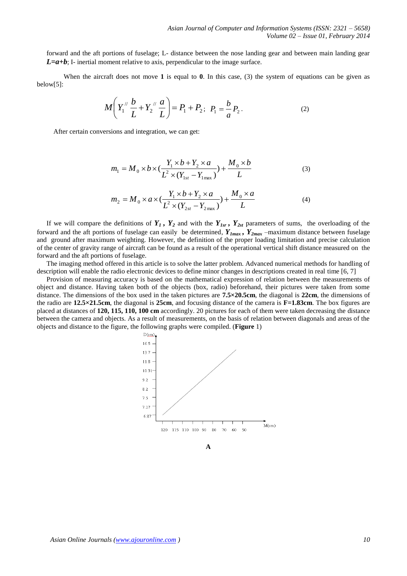forward and the aft portions of fuselage; L- distance between the nose landing gear and between main landing gear  $L=a+b$ ; I- inertial moment relative to axis, perpendicular to the image surface.

When the aircraft does not move **1** is equal to **0**. In this case, (3) the system of equations can be given as below[5]:

$$
M\left(Y_1''\frac{b}{L} + Y_2''\frac{a}{L}\right) = P_1 + P_2; \ \ P_1 = \frac{b}{a}P_2.
$$
 (2)

After certain conversions and integration, we can get:

$$
m_1 = M_0 \times b \times (\frac{Y_1 \times b + Y_2 \times a}{L^2 \times (Y_{1st} - Y_{1max})}) + \frac{M_0 \times b}{L}
$$
 (3)

$$
m_2 = M_0 \times a \times (\frac{Y_1 \times b + Y_2 \times a}{L^2 \times (Y_{2st} - Y_{2max})}) + \frac{M_0 \times a}{L}
$$
 (4)

If we will compare the definitions of  $Y_1$ ,  $Y_2$  and with the  $Y_{1sr}$ ,  $Y_{2st}$  parameters of sums, the overloading of the forward and the aft portions of fuselage can easily be determined,  $Y_{Imax}$ ,  $Y_{2max}$  –maximum distance between fuselage and ground after maximum weighting. However, the definition of the proper loading limitation and precise calculation of the center of gravity range of aircraft can be found as a result of the operational vertical shift distance measured on the forward and the aft portions of fuselage.

The imaging method offered in this article is to solve the latter problem. Advanced numerical methods for handling of description will enable the radio electronic devices to define minor changes in descriptions created in real time [6, 7]

Provision of measuring accuracy is based on the mathematical expression of relation between the measurements of object and distance. Having taken both of the objects (box, radio) beforehand, their pictures were taken from some distance. The dimensions of the box used in the taken pictures are **7.5×20.5cm**, the diagonal is **22cm**, the dimensions of the radio are **12.5×21.5cm**, the diagonal is **25cm**, and focusing distance of the camera is **F=1.83cm**. The box figures are placed at distances of **120, 115, 110, 100 cm** accordingly. 20 pictures for each of them were taken decreasing the distance between the camera and objects. As a result of measurements, on the basis of relation between diagonals and areas of the objects and distance to the figure, the following graphs were compiled. (**Figure** 1)



**A**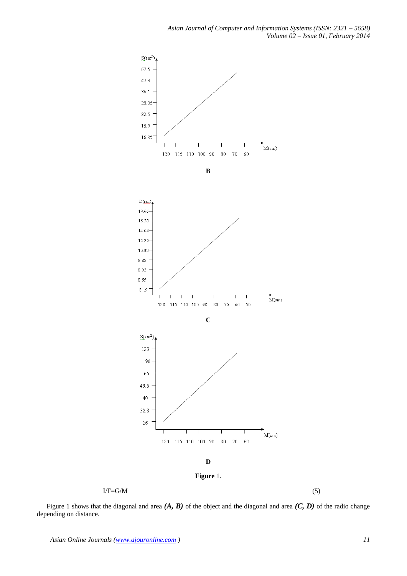

 $I/F=G/M$  (5)

Figure 1 shows that the diagonal and area *(A, B)* of the object and the diagonal and area *(C, D)* of the radio change depending on distance.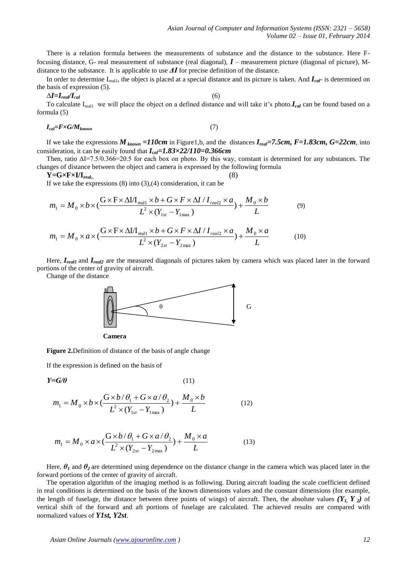There is a relation formula between the measurements of substance and the distance to the substance. Here Ffocusing distance, G- real measurement of substance (real diagonal), *I* – measurement picture (diagonal of picture), Mdistance to the substance. It is applicable to use *ΔI* for precise definition of the distance.

In order to determine Ireal1, the object is placed at a special distance and its picture is taken. And *Ical*- is determined on the basis of expression (5).

$$
\Delta I = I_{real} / I_{cal} \tag{6}
$$

To calculate I<sub>real1</sub> we will place the object on a defined distance and will take it's photo.*I<sub>cal</sub>* can be found based on a formula (5)

$$
I_{cal} = F \times G / M_{known} \tag{7}
$$

If we take the expressions  $M_{known} = 110cm$  in Figure1,b, and the distances  $I_{real} = 7.5cm$ ,  $F = 1.83cm$ ,  $G = 22cm$ , into consideration, it can be easily found that *Ical=1.83×22/110=0.366cm*

Then, ratio ΔI=7.5/0.366=20.5 for each box on photo. By this way, constant is determined for any substances. The changes of distance between the object and camera is expressed by the following formula

 $Y = G \times F \times I/I_{\text{real.}}$  (8)

If we take the expressions  $(8)$  into  $(3),(4)$  consideration, it can be

$$
m_1 = M_0 \times b \times (\frac{G \times F \times \Delta I / I_{\text{real1}} \times b + G \times F \times \Delta I / I_{\text{real2}} \times a}{L^2 \times (Y_{1st} - Y_{1\text{max}})} + \frac{M_0 \times b}{L}
$$
(9)

$$
m_1 = M_0 \times a \times (\frac{G \times F \times \Delta I / I_{\text{real1}} \times b + G \times F \times \Delta I / I_{\text{real2}} \times a}{L^2 \times (Y_{2st} - Y_{2\text{max}})} + \frac{M_0 \times a}{L}
$$
(10)

Here, *Ireal1* and *Ireal2* are the measured diagonals of pictures taken by camera which was placed later in the forward portions of the center of gravity of aircraft.

Change of the distance





**Figure 2.**Definition of distance of the basis of angle change

If the expression is defined on the basis of

$$
Y = G/\theta \tag{11}
$$

$$
m_1 = M_0 \times b \times (\frac{G \times b/\theta_1 + G \times a/\theta_2}{L^2 \times (Y_{1st} - Y_{1max})}) + \frac{M_0 \times b}{L}
$$
 (12)

$$
m_1 = M_0 \times a \times (\frac{G \times b/\theta_1 + G \times a/\theta_2}{L^2 \times (Y_{2st} - Y_{2max})}) + \frac{M_0 \times a}{L}
$$
 (13)

Here,  $\theta_1$  and  $\theta_2$  are determined using dependence on the distance change in the camera which was placed later in the forward portions of the center of gravity of aircraft.

The operation algorithm of the imaging method is as following. During aircraft loading the scale coefficient defined in real conditions is determined on the basis of the known dimensions values and the constant dimensions (for example, the length of fuselage, the distance between three points of wings) of aircraft. Then, the absolute values  $(Y_L, Y_2)$  of vertical shift of the forward and aft portions of fuselage are calculated. The achieved results are compared with normalized values of *Y1st, Y2st*.